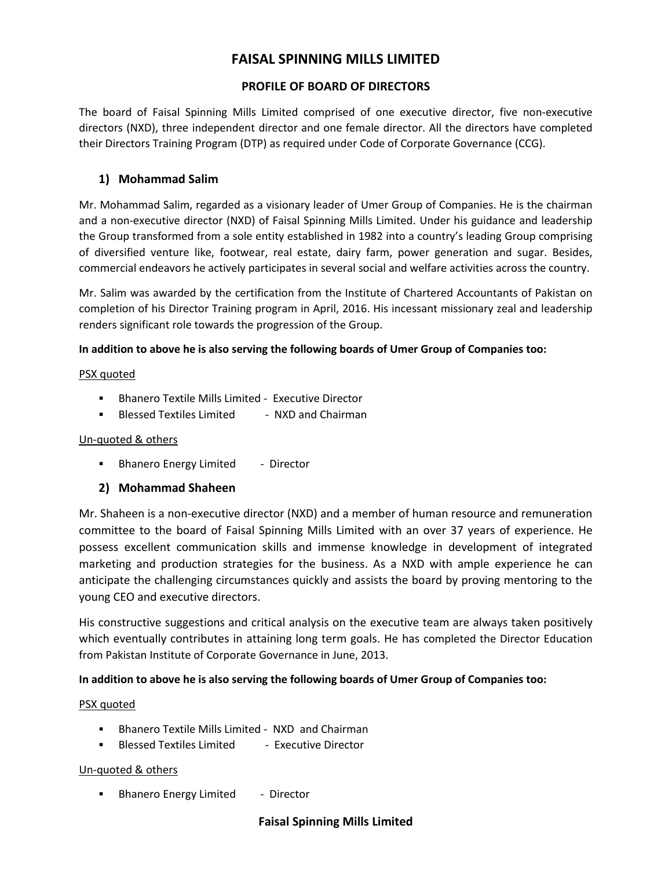# **FAISAL SPINNING MILLS LIMITED**

# **PROFILE OF BOARD OF DIRECTORS**

The board of Faisal Spinning Mills Limited comprised of one executive director, five non-executive directors (NXD), three independent director and one female director. All the directors have completed their Directors Training Program (DTP) as required under Code of Corporate Governance (CCG).

# **1) Mohammad Salim**

Mr. Mohammad Salim, regarded as a visionary leader of Umer Group of Companies. He is the chairman and a non-executive director (NXD) of Faisal Spinning Mills Limited. Under his guidance and leadership the Group transformed from a sole entity established in 1982 into a country's leading Group comprising of diversified venture like, footwear, real estate, dairy farm, power generation and sugar. Besides, commercial endeavors he actively participates in several social and welfare activities across the country.

Mr. Salim was awarded by the certification from the Institute of Chartered Accountants of Pakistan on completion of his Director Training program in April, 2016. His incessant missionary zeal and leadership renders significant role towards the progression of the Group.

### **In addition to above he is also serving the following boards of Umer Group of Companies too:**

### PSX quoted

- **Bhanero Textile Mills Limited Executive Director**
- Blessed Textiles Limited NXD and Chairman

### Un-quoted & others

**Bhanero Energy Limited** - Director

### **2) Mohammad Shaheen**

Mr. Shaheen is a non-executive director (NXD) and a member of human resource and remuneration committee to the board of Faisal Spinning Mills Limited with an over 37 years of experience. He possess excellent communication skills and immense knowledge in development of integrated marketing and production strategies for the business. As a NXD with ample experience he can anticipate the challenging circumstances quickly and assists the board by proving mentoring to the young CEO and executive directors.

His constructive suggestions and critical analysis on the executive team are always taken positively which eventually contributes in attaining long term goals. He has completed the Director Education from Pakistan Institute of Corporate Governance in June, 2013.

### **In addition to above he is also serving the following boards of Umer Group of Companies too:**

### PSX quoted

- Bhanero Textile Mills Limited NXD and Chairman
- **Blessed Textiles Limited Executive Director**

### Un-quoted & others

**Bhanero Energy Limited** - Director

### **Faisal Spinning Mills Limited**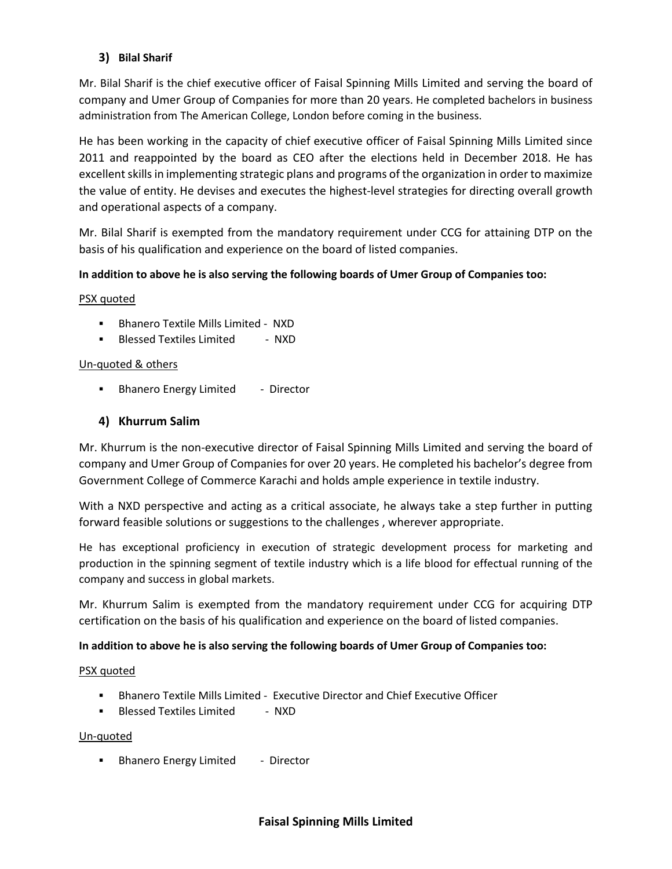# **3) Bilal Sharif**

Mr. Bilal Sharif is the chief executive officer of Faisal Spinning Mills Limited and serving the board of company and Umer Group of Companies for more than 20 years. He completed bachelors in business administration from The American College, London before coming in the business.

He has been working in the capacity of chief executive officer of Faisal Spinning Mills Limited since 2011 and reappointed by the board as CEO after the elections held in December 2018. He has excellent skills in implementing strategic plans and programs of the organization in order to maximize the value of entity. He devises and executes the highest-level strategies for directing overall growth and operational aspects of a company.

Mr. Bilal Sharif is exempted from the mandatory requirement under CCG for attaining DTP on the basis of his qualification and experience on the board of listed companies.

### **In addition to above he is also serving the following boards of Umer Group of Companies too:**

#### PSX quoted

- **Bhanero Textile Mills Limited NXD**
- **Blessed Textiles Limited NXD**

#### Un-quoted & others

**Bhanero Energy Limited** - Director

### **4) Khurrum Salim**

Mr. Khurrum is the non-executive director of Faisal Spinning Mills Limited and serving the board of company and Umer Group of Companies for over 20 years. He completed his bachelor's degree from Government College of Commerce Karachi and holds ample experience in textile industry.

With a NXD perspective and acting as a critical associate, he always take a step further in putting forward feasible solutions or suggestions to the challenges , wherever appropriate.

He has exceptional proficiency in execution of strategic development process for marketing and production in the spinning segment of textile industry which is a life blood for effectual running of the company and success in global markets.

Mr. Khurrum Salim is exempted from the mandatory requirement under CCG for acquiring DTP certification on the basis of his qualification and experience on the board of listed companies.

#### **In addition to above he is also serving the following boards of Umer Group of Companies too:**

#### PSX quoted

- Bhanero Textile Mills Limited Executive Director and Chief Executive Officer
- **Blessed Textiles Limited NXD**

#### Un-quoted

Bhanero Energy Limited - Director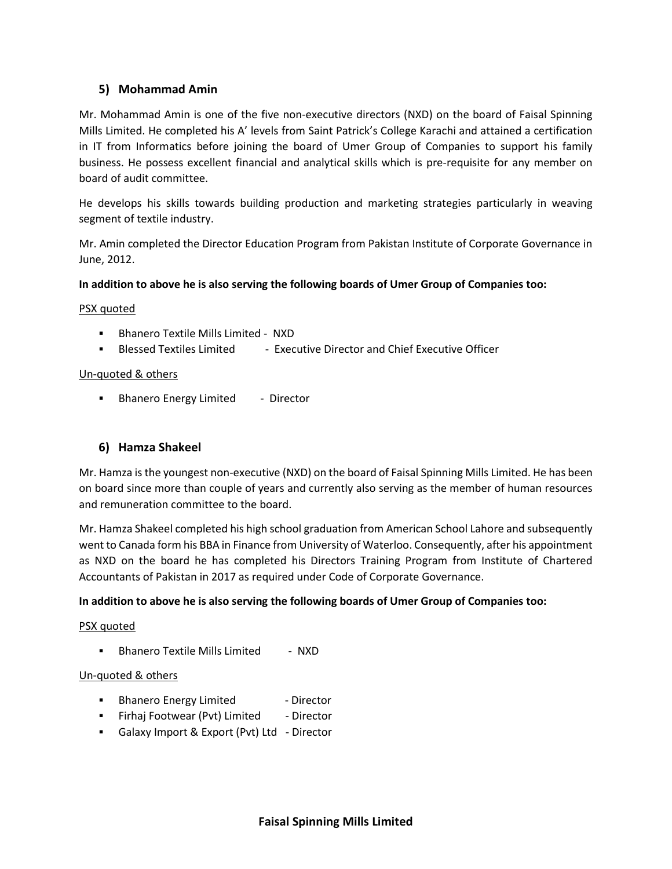# **5) Mohammad Amin**

Mr. Mohammad Amin is one of the five non-executive directors (NXD) on the board of Faisal Spinning Mills Limited. He completed his A' levels from Saint Patrick's College Karachi and attained a certification in IT from Informatics before joining the board of Umer Group of Companies to support his family business. He possess excellent financial and analytical skills which is pre-requisite for any member on board of audit committee.

He develops his skills towards building production and marketing strategies particularly in weaving segment of textile industry.

Mr. Amin completed the Director Education Program from Pakistan Institute of Corporate Governance in June, 2012.

### **In addition to above he is also serving the following boards of Umer Group of Companies too:**

#### PSX quoted

- Bhanero Textile Mills Limited NXD
- Blessed Textiles Limited Executive Director and Chief Executive Officer

#### Un-quoted & others

Bhanero Energy Limited - Director

### **6) Hamza Shakeel**

Mr. Hamza is the youngest non-executive (NXD) on the board of Faisal Spinning Mills Limited. He has been on board since more than couple of years and currently also serving as the member of human resources and remuneration committee to the board.

Mr. Hamza Shakeel completed his high school graduation from American School Lahore and subsequently went to Canada form his BBA in Finance from University of Waterloo. Consequently, after his appointment as NXD on the board he has completed his Directors Training Program from Institute of Chartered Accountants of Pakistan in 2017 as required under Code of Corporate Governance.

#### **In addition to above he is also serving the following boards of Umer Group of Companies too:**

#### PSX quoted

**Bhanero Textile Mills Limited - NXD** 

#### Un-quoted & others

- **Bhanero Energy Limited Filter Contact Limited** Director
- **Firhaj Footwear (Pvt) Limited Director**
- Galaxy Import & Export (Pvt) Ltd Director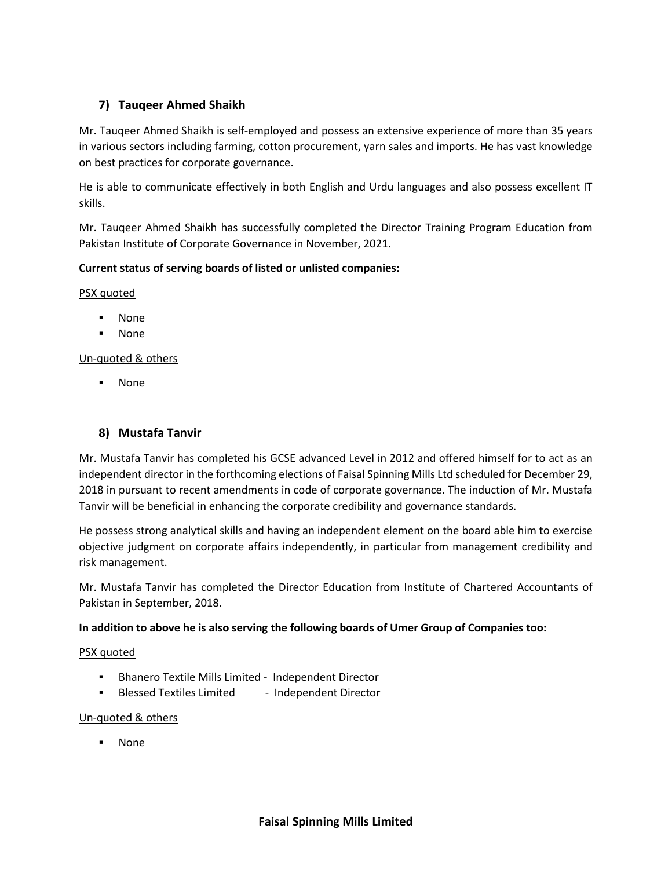# **7) Tauqeer Ahmed Shaikh**

Mr. Tauqeer Ahmed Shaikh is self-employed and possess an extensive experience of more than 35 years in various sectors including farming, cotton procurement, yarn sales and imports. He has vast knowledge on best practices for corporate governance.

He is able to communicate effectively in both English and Urdu languages and also possess excellent IT skills.

Mr. Tauqeer Ahmed Shaikh has successfully completed the Director Training Program Education from Pakistan Institute of Corporate Governance in November, 2021.

# **Current status of serving boards of listed or unlisted companies:**

PSX quoted

- None
- None

Un-quoted & others

None

# **8) Mustafa Tanvir**

Mr. Mustafa Tanvir has completed his GCSE advanced Level in 2012 and offered himself for to act as an independent director in the forthcoming elections of Faisal Spinning Mills Ltd scheduled for December 29, 2018 in pursuant to recent amendments in code of corporate governance. The induction of Mr. Mustafa Tanvir will be beneficial in enhancing the corporate credibility and governance standards.

He possess strong analytical skills and having an independent element on the board able him to exercise objective judgment on corporate affairs independently, in particular from management credibility and risk management.

Mr. Mustafa Tanvir has completed the Director Education from Institute of Chartered Accountants of Pakistan in September, 2018.

### **In addition to above he is also serving the following boards of Umer Group of Companies too:**

#### PSX quoted

- Bhanero Textile Mills Limited Independent Director
- **Blessed Textiles Limited Independent Director**

### Un-quoted & others

None